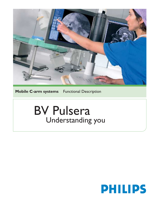

**Mobile C-arm systems** Functional Description

# BV Pulsera Understanding you

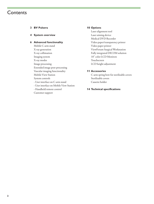### **Contents**

- **3 BV Pulsera**
- **4 System overview**

#### **6 Advanced functionality**

Mobile C-arm stand X-ray generation X-ray collimation Imaging system X-ray modes Image processing Extended image post-processing Vascular imaging functionality Mobile View Station System controls - User interface on C-arm stand - User interface on Mobile View Station - Handheld remote control Customer support

#### **10 Options**

Laser alignment tool Laser aiming device Medical DVD Recorder Video paper/transparency printer Video paper printer ViewForum Surgical Workstation Fully integrated DICOM solution 18" color LCD Monitors Touchscreen LCD height adjustment

#### **11 Accessories**

C-arm spring bow for sterilizable covers Sterilizable covers Cassette holder

#### **14 Technical specifications**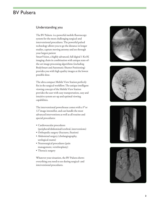## BV Pulsera

#### Understanding you

The BV Pulsera is a powerful mobile fluoroscopy system for the most challenging surgical-and interventional procedures. The powerful pulsed technology allows you to go the distance in longer studies, capture moving antomy and see through your largest patient

SmartVision, a highly advanced, full digital 1 Kx1K imaging chain in combination with unique state-ofthe-art image processing algorithms (including BodySmart and Automatic Shutter Positioning) provides you with high quality images at the lowest possible dose.

The ultra compact Mobile View Station perfectly fits in the surgical workflow. The unique intelligent viewing concept of the Mobile View Station provides the user with easy transportation, easy and intuitive system set-up and optimal viewing capabilities.

The interventional powerhouse comes with a 9"or 12"image intensifier, and can handle the most advanced interventions as well as all routine and special procedures:

- Cardiovascular procedures (peripheral/abdominal/cerebral, interventions)
- Orthopedic surgery (fractures, fixation)
- Abdominal surgery (cholangiography, urological exams)
- Neurosurgical procedures (pain management, vertebroplasty)
- Thoracic surgery

Whatever your situation, the BV Pulsera shows everything you need to see during surgical- and interventional procedures.







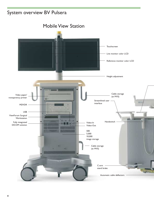# System overview BV Pulsera

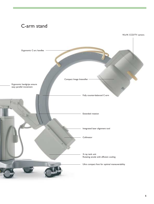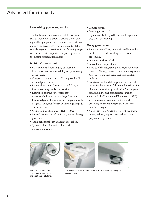# Advanced functionality

#### Everything you want to do

The BV Pulsera consists of a mobile C-arm stand and a Mobile View Station. It offers a choice of Xray and imaging functionality, as well as a variety of options and accessories. The functionality of the complete system is described in the following pages and the text that is important for you depends on the system configuration chosen.

#### **Mobile C-arm stand**

- Ultra compact foot including pushbar and handles for easy maneuverability and positioning of the stand.
- Compact, counterbalanced C-arm provides all required projections.
- Extended rotation: C-arm rotates a full 135º
- C-arm has a very low lateral position.
- Rear wheel steering concept for easy maneuverability and positioning of the stand
- Dedicated parallel movement with ergonomically designed handgrips for easy positioning alongside operating table.
- Source to Image Distance (SID) is 100 cm.
- Streamlined user interface for easy control during procedures.
- Cable deflectors brush aside any floor cables.
- System includes footswitch, handswitch, radiation indicator.
- Remote control
- Laser alignment tool
- Ergonomically designed C-arc handles guarantee easy C-arc positioning.

#### **X-ray generation**

- Rotating anode X-ray tube with excellent cooling rate for the most demanding interventional procedures.
- Pulsed Acquisition Mode
- Pulsed Fluoroscopy Mode
- Because of the integrated pre-filter, the compact converter X-ray generator ensures a homogeneous X-ray spectrum with the lowest possible skin radiation.
- BodySmart will find the region of interest, define the optimal measuring field and follow the region of interest, ensuring optimal kV/mA settings and resulting in the best possible image quality.
- Anatomically Programmed Fluoroscopy (APF) sets fluoroscopy parameters automatically, providing consistent image quality for every examination type.
- Automatic High Penetration for optimal image quality in heavy objects even in the steepest projections e.g., lateral hip.



The ultra compact foot ensures easy maneuverability and positioning of stand.





C-arm steering with parallel movement for positioning alongside operating table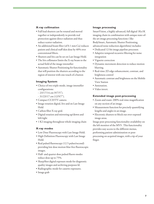#### **X-ray collimation**

- Full lead shutters can be rotated and moved together or independently to provide real protection against direct radiation and thus reduce scatter radiation.
- An additional beam filter (of 0.1 mm Cu) reduces patient and clinical staff skin dose by 40% over conventional filters.
- Shutters and Iris can be set on Last Image Hold.
- The Iris collimator limits the X-ray beam to the actual field of the image intensifier
- Automatic Shutter Positioning for functionality that will position the shutters according to the region of interest with one touch of a button

#### **Imaging System**

- Choice of two triple-mode, image intensifier configurations:
	- 23/17/14 cm (9/7/5").
- 31/23/17 cm (12/9/7").
- Compact CCD/TV camera
- Image rotation digital, live and on Last Image Hold
- Carbon fiber X-ray grid.
- Digital rotation and mirroring up/down and left/right
- 1 K2 imaging throughout whole imaging chain

#### **X-ray modes**

- Low Dose Fluoroscopy with Last Image Hold.
- High Definition Fluoroscopy with Last Image Hold.
- Real pulsed fluoroscopy (12.5 pulses/second) providing low dose motion blur-free fluoroscopic images.
- Half- and quarter dose pulsed fluoro modes reduce dose up to 75%.
- SharpShot digital exposure mode for diagnostic quality images and archiving purposes ld.
- Radiographic mode for cassette exposures.
- Image grab

#### **Image processing**

SmartVision, a highly advanced, full digital 1Kx1K imaging chain in combination with unique state-ofthe art image processing functions ( like BodySmart, Automatic Shutter Positioning, advanced noise reduction algorithms) includes:

- Dedicated 12-bit image pipeline processor.
- Adaptive temporal recursive filtering for noise integration
- Vignette correction
- Dynamic movement detection to reduce motion blurring.
- Real-time 2D edge enhancement, contrast, and brightness control
- Automatic contrast and brightness on the Mobile View Station
- Annotation.
- Video invert.

#### **Extended image post-processing**

- Zoom and roam: 200% real-time magnification on any section of an image.
- Measurement function for precisely quantifying lengths and angles in an image.
- Electronic shutters to block out over-exposed image areas.

Image post-processing functionality availability on the left monitor of the MVS . This functionality provides easy access to the different menus, performing patient administation or postprocessing on acquired images, with a tip of your finger.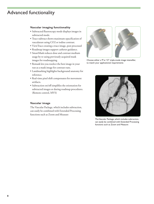# Advanced functionality

#### **Vascular imaging functionality**

- Subtracted fluoroscopy mode displays images in subtracted mode.
- Trace-subtract shows maximum opacification of vasculature using CO2 or iodine contrast.
- ViewTrace creating a trace image, post processed
- Roadmap images support catheter guidance.
- SmartMask reduces dose and contrast medium usage by re-using previously acquired mask images for roadmapping
- Remask lets you reselect the best image in your run as a mask image for contrast runs.
- Landmarking highlights background anatomy for reference.
- Real-time pixel shift compensates for movement artifacts.
- Subtraction on/off simplifies the orientation for subtracted images or during roadmap procedures. (Remote control, MVS)

#### **Vascular image**

The Vascular Package, which includes subtraction, can easily be combined with Extended Processing functions such as Zoom and Measure



Choose either a 9"or 12" triple-mode image intensifier, to match your applicational requirements



The Vascular Package, which includes subtraction, can easily be combined with Extended Processing functions such as Zoom and Measure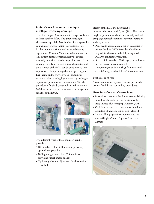#### **Mobile View Station with unique intelligent viewing concept**

The ultra compact Mobile View Station perfectly fits in the surgical workflow. The unique intelligent viewing concept of the Mobile View Station provides you with easy transportation, easy system set-up, flexible monitor positions and extended viewing capabilities. When the Mobile View Station is in the OR, patient demographics can easily be entered manually or retrieved via the hospital network. After entering these data, the monitors can be rotated and the clean side of the MVS can be positioned as close as possible to the operating table and operating staff. Depending on the way you work – standing or seated- excellent viewing is guaranteed by the height adjustment possibilities of the monitors. After the procedure is finished, you simply turn the monitors 180 degrees and you can post-process the images and send the to the PACS.







Two different types of LCD monitors can be provided:

- 18" standard color LCD monitors providing optimal image quality
- 18" high brightness color LCD monitors providing superb image quality.
- Optionally a height adjustment for the monitors is available.

Height of the LCD monitors can be increased/decreased with 25 cm (10"). This stepless height adjustment can be done manually and will bring ergonomical operation, easy transportation and easy storage

- Designed to accommodate paper/transparency printer, Medical DVD Recorder, ViewForum Surgical Workstation and a fully integrated DICOM connectivity solution.
- On top of the standard 500 images, the following memory extensions are available:
	- 5,000 images on hard disk (8 frames/second).
	- 10,000 images on hard disk (25 frames/second).

#### **System controls**

A variety of intuitive system controls provide the utmost flexibility in controlling procedures.

#### **User Interface on C-arm Stand**

- Streamlined user interface for easy control during procedures. Includes pre-set Anatomically Programmed Fluoroscopy parameters (APF).
- Workflow oriented flat panel shows functional separation of keys and can be easily cleaned.
- Choice of language is incorporated into the system (English/French/Spanish/Swedish/ German)

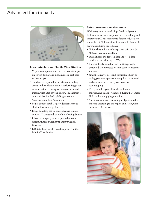# Advanced functionality



#### **User Interface on Mobile View Station**

- Vequion competent user interface consisting of on-screen display and alphanumeric keyboard with touchpad.
- Touchscreen option for the left monitor. Easy access to the different menus, performing patient administation or post-processing on acquired images, with a tip of your finger . Touchscreen is compatible with the High Brightness and Standard color LCD monitors.
- Multi-patient database provides fast access to clinical images and patient data.
- Image handling can be controlled via remote control, C-arm stand, or Mobile Viewing Station.
- Choice of language is incorporated into the system. (English/French/Spanish/Swedish/ German)
- DICOM functionality can be operated at the Mobile View Station.

#### **Safer treatment environment**

With every new system Philips Medical Systems look at how we can incorporate better shielding and improve our X-ray exposure to further reduce dose. A number of Philips unique features help drastically lower dose during procedures:

- Unique beam filters reduce patient skin dose by 40% over conventional filters.
- Pulsed fluoro modes (1/2 dose and (1/4 dose modes) reduce dose up to 75%.
- Independently movable lead shutters provide better radiation protection than semi-transparent shutters.
- SmartMask saves dose and contrast medium by letting you re-use previously acquired subtracted and non-subtracted images as masks for roadmapping.
- The system lets you adjust the collimator, shutters, and image orientation during Last Image Hold without applying radiation.
- Automatic Shutter Positioning will position the shutters according to the region of interest, with one touch of a button.

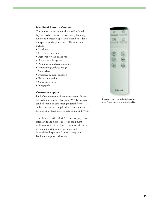#### **Handheld Remote Control**

The remote control unit is a handheld infrared keypad used to control the main image handling functions. For sterile operation, it can be used in a transparent sterile plastic cover. The functions include:

- Run loop
- Overview run/exam
- Retrieve previous image/run
- Retrieve next image/run
- Park image on reference monitor
- Protect image/release image
- SmartMask
- Fluoroscopy mode selection
- II-format selection
- Subtraction on/off
- Image grab

#### **Customer support**

Philips' ongoing commitments to develop futuresafe technology means that your BV Pulsera system can be kept up-to-date throughout its lifecycle, embracing emerging applicational demands, and keeping up with advances in networking and PACS

The Philips CUSTOMerCARE service programs offer a wide and flexible choice of equipment maintenance services, clinical education, financing, remote support, product upgrading and beyondgive the power of choice to keep you BV Pulsera at peak performance.



Remote control provides full control over X-ray modes and image handling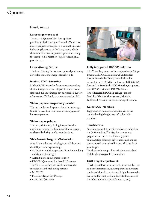### **Options**

#### Handy extras

#### **Laser alignment tool**

The Laser Alignment Tool is an optional positioning device integrated into the X-ray tank unit. It projects an image of a cross on the patient indicating the center of the X-ray beam, which allows the C-arm to be precisely positioned using the least possible radiation (e.g., for locking nail procedures).

#### **Laser Aiming Device**

The Laser Aiming Device is an optional positioning device for use at the Image Intensifier side.

#### **Medical DVD Recorder**

Medical DVD Recorder for automatic recording clinical images on a DVD (up to 2 hours). Both static and dynamic images can be recorded. Review of images on BV family system or a standard PC.

#### **Video paper/transparency printer**

Thermal multi-media printer for printing images (multi-format) from live monitor onto paper or blue transparency.

#### **Video paper printer**

Thermal printer for printing images from live monitor on paper. Hard copies of clinical images can be made during or after examinations.

#### **ViewForum Surgical Workstation**

A workflow enhancer bringing extra efficiency to the OR procedures providing :

- An intuitive multi-purpose platform for handling multi-modality images
- A stand-alone or integrated solution
- DICOM Query and Retrieve/USB storage The ViewForum Surgical Workstation can be extended with the following options:
- MIP/MPR
- Procedure Reporting Package
- DVD DICOM store



#### **Fully integrated DICOM solution**

All BV family systems can be equipped with Philips Integrated DICOM solution which transfers images from the BV family onto the hospital network in a DICOM Secondary or a DICOM XA format. The **Standard DICOM package** supports the DICOM Print and DICOM Store. The **Advanced DICOM package** supports Modality Worklist Management, Modality Performed Procedure Step and Storage Commit.

#### **Color LCD Monitors**

High contrast images can be obtained via the standard or high brightness 18" color LCD monitors.

#### **Touchscreen**

Speeding up workflow with touchscreen added to the (left) monitor. The Vequion competent graphical user interface allows easy patient administation (through different menus) or post processing of the acquired images, with the tip of your finger.

Touchscreen is compatible with the standard and high brightness color LCD monitors.

#### **LCD height adjustment**

This height adjustment can be done manually. The adjustment is stopless, meaning that the monitors can be positioned at any desired height between the lowest and highest position (height adjustment of the LCD monitors is possible with 25 cm).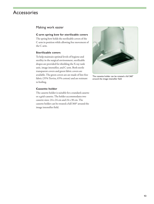## Accessories

#### Making work easier

#### **C-arm spring bow for sterilizable covers**

The spring bow holds the sterilizable covers of the C-arm in position while allowing free movement of the C-arm.

#### **Sterilizable covers**

To help maintain optimal levels of hygiene and sterility in the surgical environment, sterilizable drapes are provided for shielding the X-ray tank unit, image intensifier, and C-arm. Both sterile transparent covers and green fabric covers are available. The green covers are are made of lint-free fabric (35% Trevira, 65% cotton) and are resistant to boiling.

#### **Cassette holder**

The cassette holder is suitable for a standard cassette or a grid-cassette. The holder accommodates two cassette sizes: 24 x 24 cm and 24 x 30 cm. The cassette holder can be rotated a full 360° around the image intensifier field.



The cassette holder can be rotated a full 360° around the image intensifier field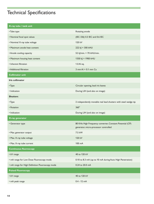# Technical Specifications

| X-ray tube / tank unit                          |                                                                                                   |
|-------------------------------------------------|---------------------------------------------------------------------------------------------------|
| • Tube type                                     | Rotating anode                                                                                    |
| • Nominal focal spot values                     | (IEC 336) 0.3 IEC and 0.6 IEC                                                                     |
| • Nominal X-ray tube voltage                    | 120 kV                                                                                            |
| • Maximum anode heat content                    | 222 kJ = 300 kHU                                                                                  |
| • Anode cooling capacity                        | 52 kJ/min. = 70 kHU/min.                                                                          |
| • Maximum housing heat content                  | 1350 kJ = 1900 kHU                                                                                |
| • Inherent filtration                           | 1.0 Al eq.                                                                                        |
| • Additional filtration                         | 3 mm Al + 0.1 mm Cu                                                                               |
| <b>Collimator unit</b>                          |                                                                                                   |
| <b>Iris collimator</b>                          |                                                                                                   |
| • Type                                          | Circular opening, lead iris leaves                                                                |
| • Indication                                    | During LIH (and also on image)                                                                    |
| <b>Shutters</b>                                 |                                                                                                   |
| • Type                                          | 2 independently movable real lead shutters with steel wedge tip                                   |
| • Rotation                                      | $360^\circ$                                                                                       |
| • Indication                                    | During LIH (and also on image)                                                                    |
| X-ray generator                                 |                                                                                                   |
| • Generator type                                | 80 KHz High Frequency converter, Constant Potential (CP)<br>generator, micro-processor controlled |
| • Max. generator output                         | 7.5 kW                                                                                            |
| • Max. X-ray tube voltage                       | 120 kV                                                                                            |
| • Max. X-ray tube current                       | 100 mA                                                                                            |
| <b>Continuous fluoroscopy</b>                   |                                                                                                   |
| • kV range                                      | 40 to 120 kV                                                                                      |
| • mA range for Low Dose Fluoroscopy mode        | 0.10 to 8.3 mA (up to 10 mA during Auto High Penetration)                                         |
| • mA range for High Definition Fluoroscopy mode | 0.24 to 20.0 mA                                                                                   |
| <b>Pulsed Fluoroscopy</b>                       |                                                                                                   |
| • kV range                                      | 40 to 120 kV                                                                                      |
| • mA peak range                                 | $0.4 - 12$ mA                                                                                     |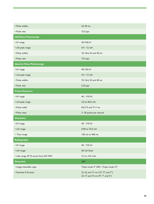| • Pulse widths                         | 24, 40 ms                                                                 |
|----------------------------------------|---------------------------------------------------------------------------|
| • Pulse rate                           | 12.5 pps                                                                  |
| <b>Half Dose Fluoroscopy</b>           |                                                                           |
| • kV range                             | 40-120 kV                                                                 |
| • mA peak range                        | $0.4 - 12$ mA                                                             |
| • Pulse widths                         | 10, 16.6, 24 and 40 ms                                                    |
| • Pulse rate                           | 12.5 pps                                                                  |
| <b>Quarter Dose Fluoroscopy</b>        |                                                                           |
| • kV range                             | 40-120 kV                                                                 |
| • mA peak range                        | $0.4 - 12$ mA                                                             |
| • Pulse widths                         | 10, 16.6, 24 and 40 ms                                                    |
| • Pulse rate                           | 6.25 pps                                                                  |
| <b>Pulsed Exposure</b>                 |                                                                           |
| • kV range                             | 40 - 110 kV                                                               |
| • mA peak range                        | 2.0 to 60.0 mA                                                            |
| • Pulse width                          | 8.0, 9.5 and 11.1 ms                                                      |
| • Pulse rates                          | 3-30 pulses per second                                                    |
| <b>Sharpshot</b>                       |                                                                           |
| • kV range                             | 40 - 110 kV                                                               |
| • mA range                             | 0.90 to 75.0 mA                                                           |
| • Time range                           | 120 ms to 460 ms                                                          |
| Radiography                            |                                                                           |
| • kV range                             | 40 - 110 kV                                                               |
| • mA range                             | 60 mA fixed                                                               |
| • mAs range (R'10 series from ISO 497) | 3.2 to 125 mAs                                                            |
| <b>Detection</b>                       | $360^\circ$                                                               |
| • Image intensifier type               | Triple mode 9" HRC / Triple mode 12"                                      |
| • Nominal II formats                   | 32, 22, and 17 cm (12", 9", and 7")<br>23, 17, and 14 cm (9", 7", and 5") |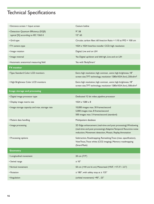# Technical Specifications

| • Entrance screen = Input screen                                            | Cesium Iodine                                                                                                                                                                                     |
|-----------------------------------------------------------------------------|---------------------------------------------------------------------------------------------------------------------------------------------------------------------------------------------------|
| • Detection Quantum Efficiency (DQE)<br>typical [%] according to IEC 1262-5 | 9":58<br>12" : 65                                                                                                                                                                                 |
| • Grid type                                                                 | Circular, carbon fiber; 60 lines/cm Ratio = 1:10 at FFD = 100 cm                                                                                                                                  |
| • TV camera type                                                            | 1024 x 1024 Interline transfer CCD; high resolution                                                                                                                                               |
| • Image rotation                                                            | Digital, Live and on LIH                                                                                                                                                                          |
| • Image reversal                                                            | Yes Digital up/down and left/righ, Live and on LIH                                                                                                                                                |
| • Automatic anatomical measuring field                                      | Yes with 'BodySmart'                                                                                                                                                                              |
| <b>TV</b> monitor                                                           |                                                                                                                                                                                                   |
| • Type: Standard Color LCD monitors                                         | Extra high resolution, high contrast, extra high brightness, 18"<br>screen size, TFT technology, resolution 1280x1024 (hxv), 250cd/m <sup>2</sup>                                                 |
| • High Brightness Color LCD monitors                                        | Extra high resolution, high contrast, extra high brightness, 18"<br>screen size, TFT technology, resolution 1280x1024 (hxv), 500cd/m <sup>2</sup>                                                 |
| Image storage and processing                                                |                                                                                                                                                                                                   |
| • Digital image processor type                                              | Dedicated 12 bit video pipeline processor                                                                                                                                                         |
| • Display image matrix size                                                 | $1024 \times 1280 \times 8$                                                                                                                                                                       |
| • Image storage capacity and max. storage rate                              | 10,000 images max. 30 frames/second<br>5,000 images max. 8 frames/second<br>500 images max. 5 frames/second (standard)                                                                            |
| • Patient data handling                                                     | Multipatient database                                                                                                                                                                             |
| • Image processing                                                          | 2D Edge enhancement (real-time and post processing), Windowing<br>(real-time and post processing), Adaptive Temporal Recursive noise<br>reduction, Movement detection, Mosaic, Replay, Annotation |
| • Processing options                                                        | Subtraction, Roadmapping, Remasking, Trace (max. opacification),<br>ViewTrace, Trace white (CO2 imaging), Memory roadmapping<br>(SmartMask)                                                       |
| Geometry                                                                    |                                                                                                                                                                                                   |
| • Longitudinal movement                                                     | 20 cm (7.9")                                                                                                                                                                                      |
| • Swivel range                                                              | $± 10^{\circ}$                                                                                                                                                                                    |
| • Vertical movement                                                         | 50 cm (+44 cm/-6 cm) Motorized (19.8", +17.3"/- 2.5")                                                                                                                                             |
| • Rotation                                                                  | $\pm$ 180°, with safety stop at $\pm$ 135°                                                                                                                                                        |
| • Angulation                                                                | (orbital movement) +90°, -25°                                                                                                                                                                     |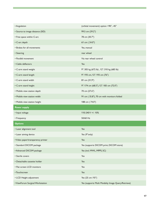| • Angulation                       | (orbital movement) option +90°, -45°      |
|------------------------------------|-------------------------------------------|
| • Source to image distance (SID)   | 99.5 cm (39.2")                           |
| • Free space within C-arc          | 78 cm (30.7")                             |
| • C-arc depth                      | 61 cm (24.0")                             |
| • Brakes for all movements         | Yes, manual                               |
| • Steering                         | rear wheel                                |
| • Parallel movement                | Via rear wheel control                    |
| • Cable deflectors                 | Yes                                       |
| • C-arm stand weight               | 9": 305 kg (672 lb), 12": 310 kg (683 lb) |
| • C-arm stand length               | 9": 193 cm, 12": 193 cm (76")             |
| • C-arm stand width                | 81 cm (31,9")                             |
| • C-arm stand height               | 9": 174 cm (68.5"), 12": 183 cm (72.0")   |
| • Mobile view station depth        | 70 cm (27.6")                             |
| • Mobile view station width        | 91 cm (35.8"), 70 cm with monitors folded |
| • Mobile view station height       | 188 cm (74.0")                            |
|                                    |                                           |
| <b>Power supply</b>                |                                           |
| • Input voltage                    | 110-240 V +/- 10%                         |
| • Frequency                        | 50/60 Hz                                  |
| <b>Options</b>                     |                                           |
| • Laser alignment tool             | Yes                                       |
| • Laser aiming device              | Yes (9"only)                              |
| • Video paper/transparency printer | Yes                                       |
| • Standard DICOM package           | Yes (supports DICOM print, DICOM store)   |
| • Advanced DICOM package           | Yes (incl. MWL, MPPS, SC)                 |
| • Sterile covers                   | Yes                                       |
| • Detachable cassette holder       | Yes                                       |
| • Flat screen LCD monitors         | Yes                                       |
| • Touchscreen                      | Yes                                       |
| • LCD Height adjustment            | Yes (25 cm /10")                          |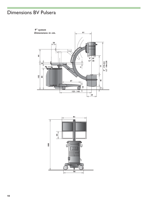# Dimensions BV Pulsera



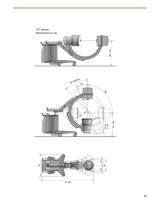